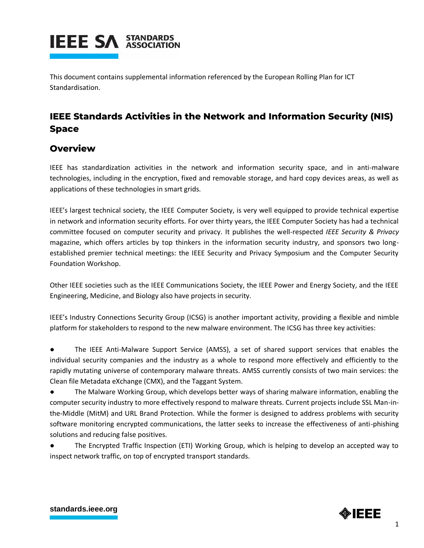

This document contains supplemental information referenced by the European Rolling Plan for ICT Standardisation.

# **IEEE Standards Activities in the Network and Information Security (NIS) Space**

#### **Overview**

IEEE has standardization activities in the network and information security space, and in anti-malware technologies, including in the encryption, fixed and removable storage, and hard copy devices areas, as well as applications of these technologies in smart grids.

IEEE's largest technical society, the IEEE Computer Society, is very well equipped to provide technical expertise in network and information security efforts. For over thirty years, the IEEE Computer Society has had a technical committee focused on computer security and privacy. It publishes the well-respected *IEEE Security & Privacy* magazine, which offers articles by top thinkers in the information security industry, and sponsors two longestablished premier technical meetings: the IEEE Security and Privacy Symposium and the Computer Security Foundation Workshop.

Other IEEE societies such as the IEEE Communications Society, the IEEE Power and Energy Society, and the IEEE Engineering, Medicine, and Biology also have projects in security.

IEEE's Industry Connections Security Group (ICSG) is another important activity, providing a flexible and nimble platform for stakeholders to respond to the new malware environment. The ICSG has three key activities:

The IEEE Anti-Malware Support Service (AMSS), a set of shared support services that enables the individual security companies and the industry as a whole to respond more effectively and efficiently to the rapidly mutating universe of contemporary malware threats. AMSS currently consists of two main services: the Clean file Metadata eXchange (CMX), and the Taggant System.

● The Malware Working Group, which develops better ways of sharing malware information, enabling the computer security industry to more effectively respond to malware threats. Current projects include SSL Man-inthe-Middle (MitM) and URL Brand Protection. While the former is designed to address problems with security software monitoring encrypted communications, the latter seeks to increase the effectiveness of anti-phishing solutions and reducing false positives.

The Encrypted Traffic Inspection (ETI) Working Group, which is helping to develop an accepted way to inspect network traffic, on top of encrypted transport standards.

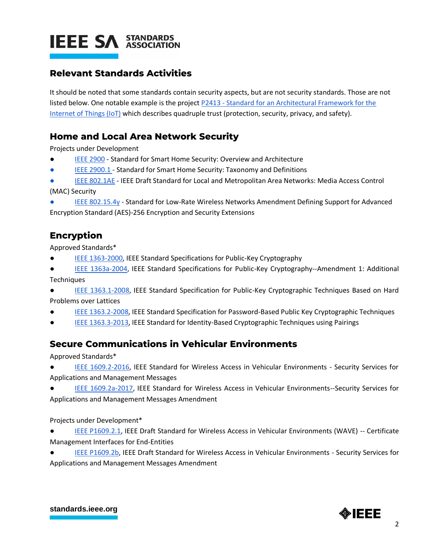

## **Relevant Standards Activities**

It should be noted that some standards contain security aspects, but are not security standards. Those are not listed below. One notable example is the project P2413 - [Standard for an Architectural Framework for the](http://standards.ieee.org/develop/project/2413.html)  [Internet of Things \(IoT\)](http://standards.ieee.org/develop/project/2413.html) which describes quadruple trust (protection, security, privacy, and safety).

### **Home and Local Area Network Security**

Projects under Development

- [IEEE 2900](https://standards.ieee.org/project/2900.html) Standard for Smart Home Security: Overview and Architecture
- [IEEE 2900.1 -](https://standards.ieee.org/project/2900_1.html) Standard for Smart Home Security: Taxonomy and Definitions
- [IEEE 802.1AE](https://standards.ieee.org/standard/802_1AE-2018.html) IEEE Draft Standard for Local and Metropolitan Area Networks: Media Access Control

(MAC) Security

[IEEE 802.15.4y](https://standards.ieee.org/project/802_15_4y.html) - Standard for Low-Rate Wireless Networks Amendment Defining Support for Advanced Encryption Standard (AES)-256 Encryption and Security Extensions

#### **Encryption**

Approved Standards\*

- [IEEE 1363-2000,](http://standards.ieee.org/findstds/standard/1363-2000.html) IEEE Standard Specifications for Public-Key Cryptography
- [IEEE 1363a-2004,](http://standards.ieee.org/findstds/standard/1363a-2004.html) IEEE Standard Specifications for Public-Key Cryptography--Amendment 1: Additional **Techniques**
- [IEEE 1363.1-2008,](http://standards.ieee.org/findstds/standard/1363.1-2008.html) IEEE Standard Specification for Public-Key Cryptographic Techniques Based on Hard Problems over Lattices
- [IEEE 1363.2-2008,](http://standards.ieee.org/findstds/standard/1363.2-2008.html) IEEE Standard Specification for Password-Based Public Key Cryptographic Techniques
- [IEEE 1363.3-2013,](http://standards.ieee.org/findstds/standard/1363.3-2013.html) IEEE Standard for Identity-Based Cryptographic Techniques using Pairings

### **Secure Communications in Vehicular Environments**

Approved Standards\*

- [IEEE 1609.2-2016,](https://standards.ieee.org/standard/1609_2-2016.html) IEEE Standard for Wireless Access in Vehicular Environments Security Services for Applications and Management Messages
- [IEEE 1609.2a-2017,](http://ieeexplore.ieee.org/document/7997836/versions) IEEE Standard for Wireless Access in Vehicular Environments--Security Services for Applications and Management Messages Amendment

Projects under Development\*

- [IEEE P1609.2.1,](https://standards.ieee.org/project/1609_2_1.html) IEEE Draft Standard for Wireless Access in Vehicular Environments (WAVE) -- Certificate Management Interfaces for End-Entities
- [IEEE P1609.2b,](https://standards.ieee.org/content/ieee-standards/en/standard/1609_2b-2019.html) IEEE Draft Standard for Wireless Access in Vehicular Environments Security Services for Applications and Management Messages Amendment

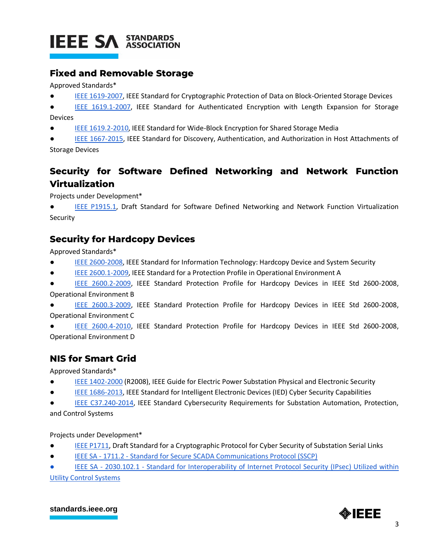

#### **Fixed and Removable Storage**

Approved Standards\*

- [IEEE 1619-2007,](http://standards.ieee.org/findstds/standard/1619-2007.html) IEEE Standard for Cryptographic Protection of Data on Block-Oriented Storage Devices
- [IEEE 1619.1-2007,](http://standards.ieee.org/findstds/standard/1619.1-2007.html) IEEE Standard for Authenticated Encryption with Length Expansion for Storage Devices
- [IEEE 1619.2-2010,](http://standards.ieee.org/findstds/standard/1619.2-2010.html) IEEE Standard for Wide-Block Encryption for Shared Storage Media
- [IEEE 1667-2015,](http://standards.ieee.org/findstds/standard/1667-2015.html) IEEE Standard for Discovery, Authentication, and Authorization in Host Attachments of Storage Devices

# **Security for Software Defined Networking and Network Function Virtualization**

Projects under Development\*

[IEEE P1915.1,](http://standards.ieee.org/develop/project/1915.1.html) Draft Standard for Software Defined Networking and Network Function Virtualization Security

# **Security for Hardcopy Devices**

Approved Standards\*

- [IEEE 2600-2008,](http://standards.ieee.org/findstds/standard/2600-2008.html) IEEE Standard for Information Technology: Hardcopy Device and System Security
- [IEEE 2600.1-2009,](http://standards.ieee.org/findstds/standard/2600.1-2009.html) IEEE Standard for a Protection Profile in Operational Environment A
- [IEEE 2600.2-2009,](http://standards.ieee.org/findstds/standard/2600.2-2009.html) IEEE Standard Protection Profile for Hardcopy Devices in IEEE Std 2600-2008, Operational Environment B
- [IEEE 2600.3-2009,](http://standards.ieee.org/findstds/standard/2600.3-2009.html) IEEE Standard Protection Profile for Hardcopy Devices in IEEE Std 2600-2008, Operational Environment C
- [IEEE 2600.4-2010,](http://standards.ieee.org/findstds/standard/2600.4-2010.html) IEEE Standard Protection Profile for Hardcopy Devices in IEEE Std 2600-2008, Operational Environment D

# **NIS for Smart Grid**

Approved Standards\*

- [IEEE 1402-2000](http://standards.ieee.org/findstds/standard/1402-2000.html) (R2008), IEEE Guide for Electric Power Substation Physical and Electronic Security
- [IEEE 1686-2013,](http://standards.ieee.org/findstds/standard/1686-2013.html) IEEE Standard for Intelligent Electronic Devices (IED) Cyber Security Capabilities
- [IEEE C37.240-2014,](http://standards.ieee.org/findstds/standard/C37.240-2014.html) IEEE Standard Cybersecurity Requirements for Substation Automation, Protection, and Control Systems

Projects under Development\*

- [IEEE P1711,](http://standards.ieee.org/develop/project/1711.html) Draft Standard for a Cryptographic Protocol for Cyber Security of Substation Serial Links
- IEEE SA 1711.2 [Standard for Secure SCADA Communications Protocol \(SSCP\)](http://standards.ieee.org/develop/project/1711.2.html)

IEEE SA - 2030.102.1 - Standard for Interoperability of Internet Protocol Security (IPsec) Utilized within [Utility Control Systems](http://standards.ieee.org/develop/project/2030.102.1.html)